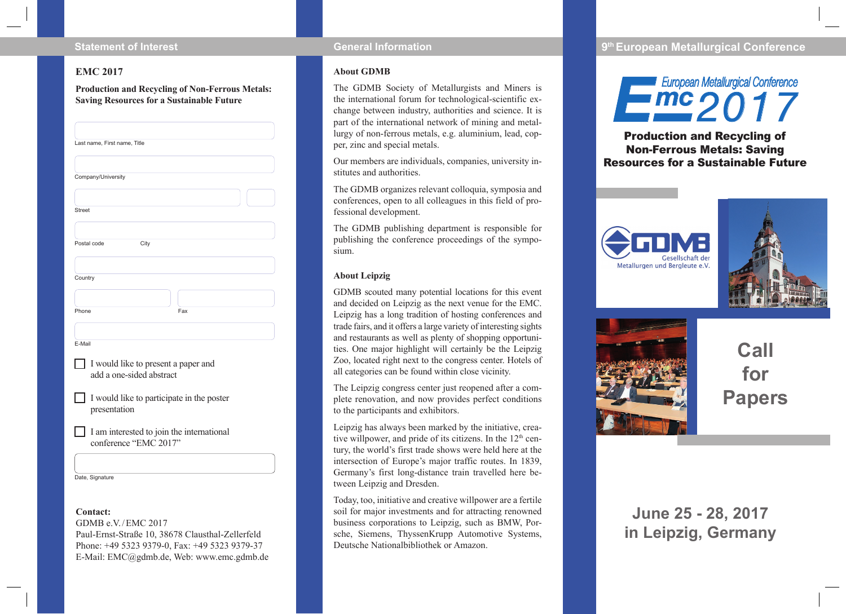## **Statement of Interest General Information**

## **EMC 2017**

**Production and Recycling of Non-Ferrous Metals: Saving Resources for a Sustainable Future** 

| Company/University |                                                                 |
|--------------------|-----------------------------------------------------------------|
|                    |                                                                 |
| <b>Street</b>      |                                                                 |
| Postal code        | City                                                            |
|                    |                                                                 |
| Country            |                                                                 |
|                    |                                                                 |
| Phone              | Fax                                                             |
|                    |                                                                 |
| E-Mail             |                                                                 |
|                    | I would like to present a paper and<br>add a one-sided abstract |
|                    |                                                                 |
| presentation       | I would like to participate in the poster                       |

## **Contact:**

GDMB e.V./EMC 2017 Paul-Ernst-Straße 10, 38678 Clausthal-Zellerfeld Phone: +49 5323 9379-0, Fax: +49 5323 9379-37 E-Mail: EMC@gdmb.de, Web: www.emc.gdmb.de

## **About GDMB**

The GDMB Society of Metallurgists and Miners is the international forum for technological-scientific exchange between industry, authorities and science. It is part of the international network of mining and metallurgy of non-ferrous metals, e.g. aluminium, lead, copper, zinc and special metals.

Our members are individuals, companies, university institutes and authorities.

The GDMB organizes relevant colloquia, symposia and conferences, open to all colleagues in this field of professional development.

The GDMB publishing department is responsible for publishing the conference proceedings of the symposium.

## **About Leipzig**

GDMB scouted many potential locations for this event and decided on Leipzig as the next venue for the EMC. Leipzig has a long tradition of hosting conferences and trade fairs, and it offers a large variety of interesting sights and restaurants as well as plenty of shopping opportunities. One major highlight will certainly be the Leipzig Zoo, located right next to the congress center. Hotels of all categories can be found within close vicinity.

The Leipzig congress center just reopened after a complete renovation, and now provides perfect conditions to the participants and exhibitors.

Leipzig has always been marked by the initiative, creative willpower, and pride of its citizens. In the 12<sup>th</sup> century, the world's first trade shows were held here at the intersection of Europe's major traffic routes. In 1839, Germany's first long-distance train travelled here between Leipzig and Dresden.

Today, too, initiative and creative willpower are a fertile soil for major investments and for attracting renowned business corporations to Leipzig, such as BMW, Porsche, Siemens, ThyssenKrupp Automotive Systems, Deutsche Nationalbibliothek or Amazon.

## **9th European Metallurgical Conference**



## Production and Recycling of Non-Ferrous Metals: Saving Resources for a Sustainable Future







# **Call for Papers**

## **June 25 - 28, 2017 in Leipzig, Germany**